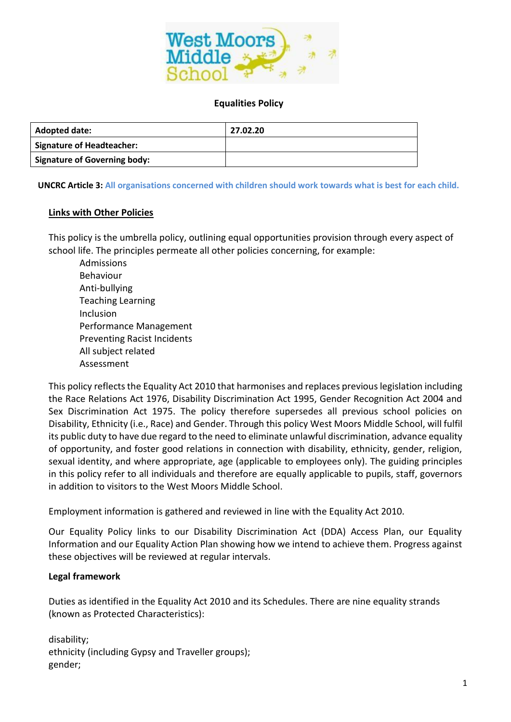

#### **Equalities Policy**

| <b>Adopted date:</b>                | 27.02.20 |
|-------------------------------------|----------|
| <b>Signature of Headteacher:</b>    |          |
| <b>Signature of Governing body:</b> |          |

**UNCRC Article 3: All organisations concerned with children should work towards what is best for each child.**

#### **Links with Other Policies**

This policy is the umbrella policy, outlining equal opportunities provision through every aspect of school life. The principles permeate all other policies concerning, for example:

Admissions Behaviour Anti-bullying Teaching Learning Inclusion Performance Management Preventing Racist Incidents All subject related Assessment

This policy reflects the Equality Act 2010 that harmonises and replaces previous legislation including the Race Relations Act 1976, Disability Discrimination Act 1995, Gender Recognition Act 2004 and Sex Discrimination Act 1975. The policy therefore supersedes all previous school policies on Disability, Ethnicity (i.e., Race) and Gender. Through this policy West Moors Middle School, will fulfil its public duty to have due regard to the need to eliminate unlawful discrimination, advance equality of opportunity, and foster good relations in connection with disability, ethnicity, gender, religion, sexual identity, and where appropriate, age (applicable to employees only). The guiding principles in this policy refer to all individuals and therefore are equally applicable to pupils, staff, governors in addition to visitors to the West Moors Middle School.

Employment information is gathered and reviewed in line with the Equality Act 2010.

Our Equality Policy links to our Disability Discrimination Act (DDA) Access Plan, our Equality Information and our Equality Action Plan showing how we intend to achieve them. Progress against these objectives will be reviewed at regular intervals.

#### **Legal framework**

Duties as identified in the Equality Act 2010 and its Schedules. There are nine equality strands (known as Protected Characteristics):

disability; ethnicity (including Gypsy and Traveller groups); gender;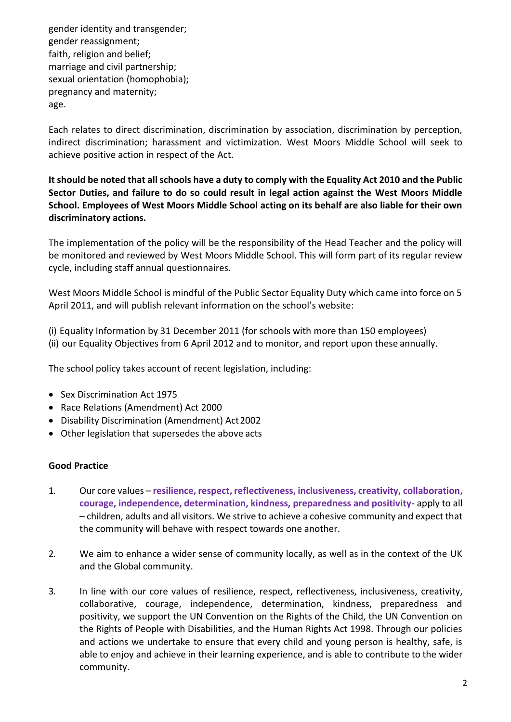gender identity and transgender; gender reassignment; faith, religion and belief; marriage and civil partnership; sexual orientation (homophobia); pregnancy and maternity; age.

Each relates to direct discrimination, discrimination by association, discrimination by perception, indirect discrimination; harassment and victimization. West Moors Middle School will seek to achieve positive action in respect of the Act.

**It should be noted that all schools have a duty to comply with the Equality Act 2010 and the Public Sector Duties, and failure to do so could result in legal action against the West Moors Middle School. Employees of West Moors Middle School acting on its behalf are also liable for their own discriminatory actions.**

The implementation of the policy will be the responsibility of the Head Teacher and the policy will be monitored and reviewed by West Moors Middle School. This will form part of its regular review cycle, including staff annual questionnaires.

West Moors Middle School is mindful of the Public Sector Equality Duty which came into force on 5 April 2011, and will publish relevant information on the school's website:

(i) Equality Information by 31 December 2011 (for schools with more than 150 employees) (ii) our Equality Objectives from 6 April 2012 and to monitor, and report upon these annually.

The school policy takes account of recent legislation, including:

- Sex Discrimination Act 1975
- Race Relations (Amendment) Act 2000
- Disability Discrimination (Amendment) Act2002
- Other legislation that supersedes the above acts

#### **Good Practice**

- 1. Our core values **resilience, respect, reflectiveness, inclusiveness, creativity, collaboration, courage, independence, determination, kindness, preparedness and positivity**- apply to all – children, adults and all visitors. We strive to achieve a cohesive community and expect that the community will behave with respect towards one another.
- 2. We aim to enhance a wider sense of community locally, as well as in the context of the UK and the Global community.
- 3. In line with our core values of resilience, respect, reflectiveness, inclusiveness, creativity, collaborative, courage, independence, determination, kindness, preparedness and positivity, we support the UN Convention on the Rights of the Child, the UN Convention on the Rights of People with Disabilities, and the Human Rights Act 1998. Through our policies and actions we undertake to ensure that every child and young person is healthy, safe, is able to enjoy and achieve in their learning experience, and is able to contribute to the wider community.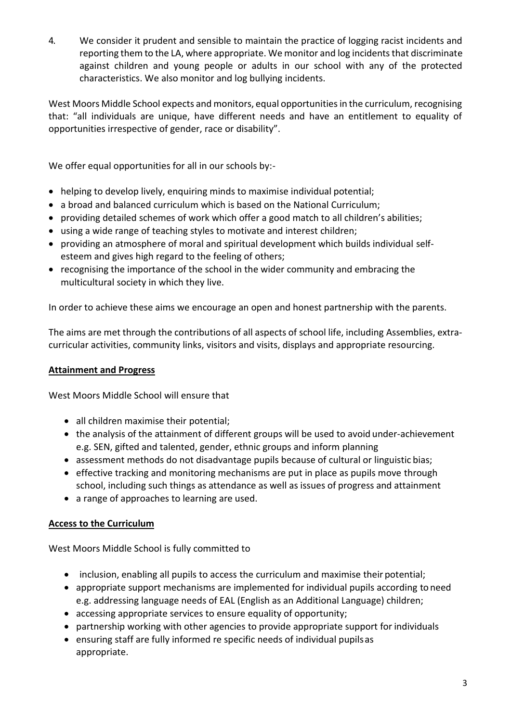4. We consider it prudent and sensible to maintain the practice of logging racist incidents and reporting them to the LA, where appropriate. We monitor and log incidents that discriminate against children and young people or adults in our school with any of the protected characteristics. We also monitor and log bullying incidents.

West Moors Middle School expects and monitors, equal opportunities in the curriculum, recognising that: "all individuals are unique, have different needs and have an entitlement to equality of opportunities irrespective of gender, race or disability".

We offer equal opportunities for all in our schools by:-

- helping to develop lively, enquiring minds to maximise individual potential;
- a broad and balanced curriculum which is based on the National Curriculum;
- providing detailed schemes of work which offer a good match to all children's abilities;
- using a wide range of teaching styles to motivate and interest children;
- providing an atmosphere of moral and spiritual development which builds individual selfesteem and gives high regard to the feeling of others;
- recognising the importance of the school in the wider community and embracing the multicultural society in which they live.

In order to achieve these aims we encourage an open and honest partnership with the parents.

The aims are met through the contributions of all aspects of school life, including Assemblies, extracurricular activities, community links, visitors and visits, displays and appropriate resourcing.

# **Attainment and Progress**

West Moors Middle School will ensure that

- all children maximise their potential;
- the analysis of the attainment of different groups will be used to avoid under-achievement e.g. SEN, gifted and talented, gender, ethnic groups and inform planning
- assessment methods do not disadvantage pupils because of cultural or linguistic bias;
- effective tracking and monitoring mechanisms are put in place as pupils move through school, including such things as attendance as well as issues of progress and attainment
- a range of approaches to learning are used.

# **Access to the Curriculum**

West Moors Middle School is fully committed to

- inclusion, enabling all pupils to access the curriculum and maximise their potential;
- appropriate support mechanisms are implemented for individual pupils according to need e.g. addressing language needs of EAL (English as an Additional Language) children;
- accessing appropriate services to ensure equality of opportunity;
- partnership working with other agencies to provide appropriate support for individuals
- ensuring staff are fully informed re specific needs of individual pupilsas appropriate.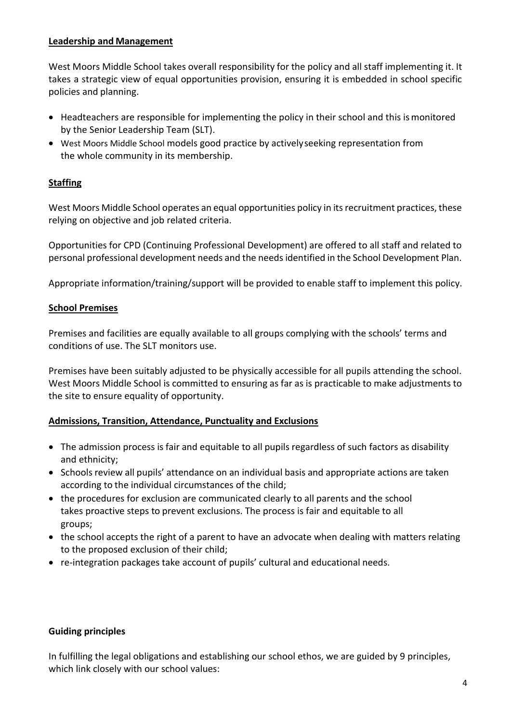### **Leadership and Management**

West Moors Middle School takes overall responsibility for the policy and all staff implementing it. It takes a strategic view of equal opportunities provision, ensuring it is embedded in school specific policies and planning.

- Headteachers are responsible for implementing the policy in their school and this is monitored by the Senior Leadership Team (SLT).
- West Moors Middle School models good practice by activelyseeking representation from the whole community in its membership.

# **Staffing**

West Moors Middle School operates an equal opportunities policy in its recruitment practices, these relying on objective and job related criteria.

Opportunities for CPD (Continuing Professional Development) are offered to all staff and related to personal professional development needs and the needs identified in the School Development Plan.

Appropriate information/training/support will be provided to enable staff to implement this policy.

### **School Premises**

Premises and facilities are equally available to all groups complying with the schools' terms and conditions of use. The SLT monitors use.

Premises have been suitably adjusted to be physically accessible for all pupils attending the school. West Moors Middle School is committed to ensuring as far as is practicable to make adjustments to the site to ensure equality of opportunity.

### **Admissions, Transition, Attendance, Punctuality and Exclusions**

- The admission process is fair and equitable to all pupils regardless of such factors as disability and ethnicity;
- Schools review all pupils' attendance on an individual basis and appropriate actions are taken according to the individual circumstances of the child;
- the procedures for exclusion are communicated clearly to all parents and the school takes proactive steps to prevent exclusions. The process is fair and equitable to all groups;
- the school accepts the right of a parent to have an advocate when dealing with matters relating to the proposed exclusion of their child;
- re-integration packages take account of pupils' cultural and educational needs.

### **Guiding principles**

In fulfilling the legal obligations and establishing our school ethos, we are guided by 9 principles, which link closely with our school values: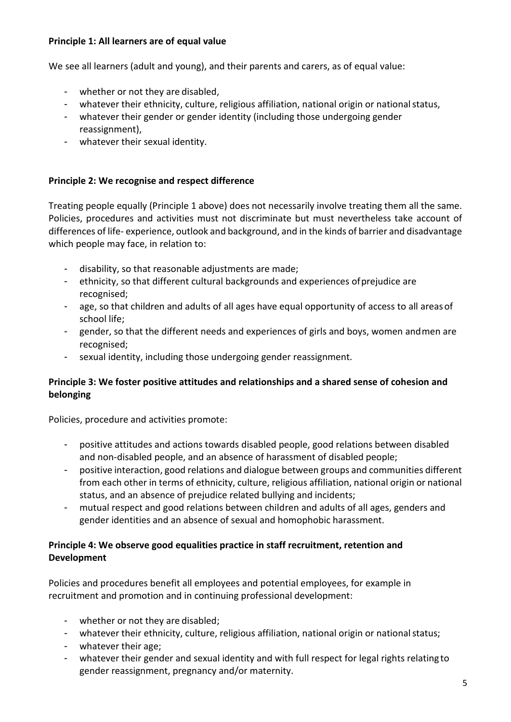### **Principle 1: All learners are of equal value**

We see all learners (adult and young), and their parents and carers, as of equal value:

- whether or not they are disabled,
- whatever their ethnicity, culture, religious affiliation, national origin or national status,
- whatever their gender or gender identity (including those undergoing gender reassignment),
- whatever their sexual identity.

### **Principle 2: We recognise and respect difference**

Treating people equally (Principle 1 above) does not necessarily involve treating them all the same. Policies, procedures and activities must not discriminate but must nevertheless take account of differences of life- experience, outlook and background, and in the kinds of barrier and disadvantage which people may face, in relation to:

- disability, so that reasonable adjustments are made;
- ethnicity, so that different cultural backgrounds and experiences ofprejudice are recognised;
- age, so that children and adults of all ages have equal opportunity of access to all areasof school life;
- gender, so that the different needs and experiences of girls and boys, women andmen are recognised;
- sexual identity, including those undergoing gender reassignment.

# **Principle 3: We foster positive attitudes and relationships and a shared sense of cohesion and belonging**

Policies, procedure and activities promote:

- positive attitudes and actions towards disabled people, good relations between disabled and non-disabled people, and an absence of harassment of disabled people;
- positive interaction, good relations and dialogue between groups and communities different from each other in terms of ethnicity, culture, religious affiliation, national origin or national status, and an absence of prejudice related bullying and incidents;
- mutual respect and good relations between children and adults of all ages, genders and gender identities and an absence of sexual and homophobic harassment.

# **Principle 4: We observe good equalities practice in staff recruitment, retention and Development**

Policies and procedures benefit all employees and potential employees, for example in recruitment and promotion and in continuing professional development:

- whether or not they are disabled;
- whatever their ethnicity, culture, religious affiliation, national origin or nationalstatus;
- whatever their age;
- whatever their gender and sexual identity and with full respect for legal rights relating to gender reassignment, pregnancy and/or maternity.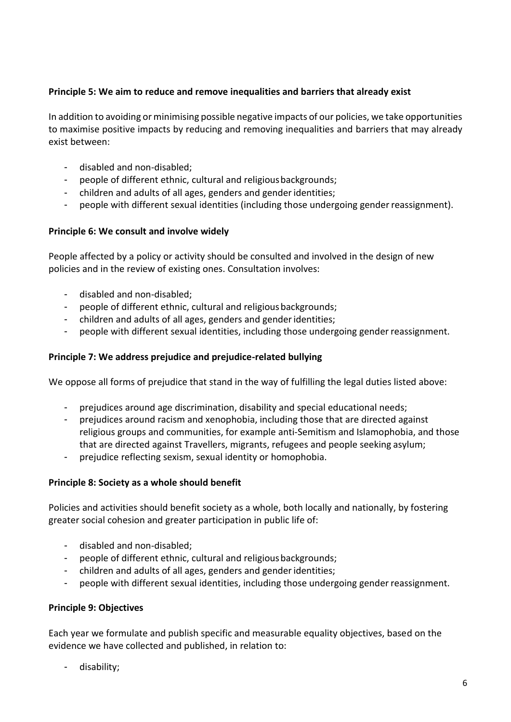### **Principle 5: We aim to reduce and remove inequalities and barriers that already exist**

In addition to avoiding or minimising possible negative impacts of our policies, we take opportunities to maximise positive impacts by reducing and removing inequalities and barriers that may already exist between:

- disabled and non-disabled;
- people of different ethnic, cultural and religiousbackgrounds;
- children and adults of all ages, genders and gender identities;
- people with different sexual identities (including those undergoing gender reassignment).

### **Principle 6: We consult and involve widely**

People affected by a policy or activity should be consulted and involved in the design of new policies and in the review of existing ones. Consultation involves:

- disabled and non-disabled;
- people of different ethnic, cultural and religiousbackgrounds;
- children and adults of all ages, genders and genderidentities;
- people with different sexual identities, including those undergoing gender reassignment.

#### **Principle 7: We address prejudice and prejudice-related bullying**

We oppose all forms of prejudice that stand in the way of fulfilling the legal duties listed above:

- prejudices around age discrimination, disability and special educational needs;
- prejudices around racism and xenophobia, including those that are directed against religious groups and communities, for example anti-Semitism and Islamophobia, and those that are directed against Travellers, migrants, refugees and people seeking asylum;
- prejudice reflecting sexism, sexual identity or homophobia.

#### **Principle 8: Society as a whole should benefit**

Policies and activities should benefit society as a whole, both locally and nationally, by fostering greater social cohesion and greater participation in public life of:

- disabled and non-disabled;
- people of different ethnic, cultural and religious backgrounds;
- children and adults of all ages, genders and gender identities;
- people with different sexual identities, including those undergoing gender reassignment.

### **Principle 9: Objectives**

Each year we formulate and publish specific and measurable equality objectives, based on the evidence we have collected and published, in relation to:

- disability;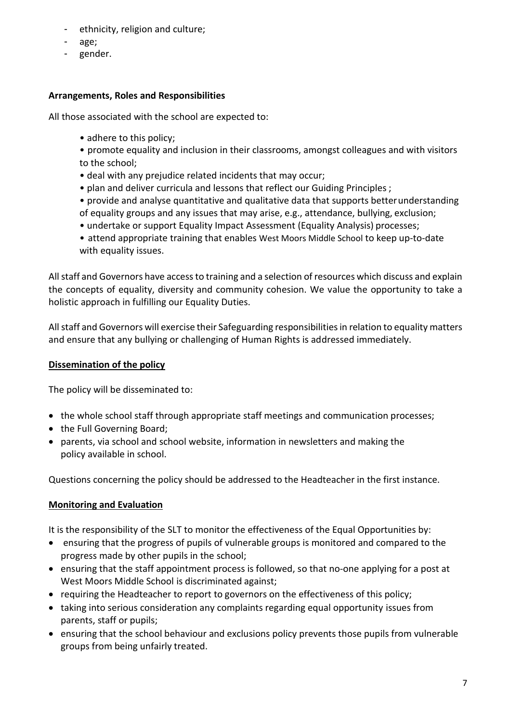- ethnicity, religion and culture;
- age;
- gender.

# **Arrangements, Roles and Responsibilities**

All those associated with the school are expected to:

- adhere to this policy;
- promote equality and inclusion in their classrooms, amongst colleagues and with visitors to the school;
- deal with any prejudice related incidents that may occur;
- plan and deliver curricula and lessons that reflect our Guiding Principles ;
- provide and analyse quantitative and qualitative data that supports betterunderstanding of equality groups and any issues that may arise, e.g., attendance, bullying, exclusion;
- undertake or support Equality Impact Assessment (Equality Analysis) processes;
- attend appropriate training that enables West Moors Middle School to keep up-to-date with equality issues.

All staff and Governors have access to training and a selection of resources which discuss and explain the concepts of equality, diversity and community cohesion. We value the opportunity to take a holistic approach in fulfilling our Equality Duties.

All staff and Governors will exercise their Safeguarding responsibilities in relation to equality matters and ensure that any bullying or challenging of Human Rights is addressed immediately.

# **Dissemination of the policy**

The policy will be disseminated to:

- the whole school staff through appropriate staff meetings and communication processes;
- the Full Governing Board;
- parents, via school and school website, information in newsletters and making the policy available in school.

Questions concerning the policy should be addressed to the Headteacher in the first instance.

# **Monitoring and Evaluation**

It is the responsibility of the SLT to monitor the effectiveness of the Equal Opportunities by:

- ensuring that the progress of pupils of vulnerable groups is monitored and compared to the progress made by other pupils in the school;
- ensuring that the staff appointment process is followed, so that no-one applying for a post at West Moors Middle School is discriminated against;
- requiring the Headteacher to report to governors on the effectiveness of this policy;
- taking into serious consideration any complaints regarding equal opportunity issues from parents, staff or pupils;
- ensuring that the school behaviour and exclusions policy prevents those pupils from vulnerable groups from being unfairly treated.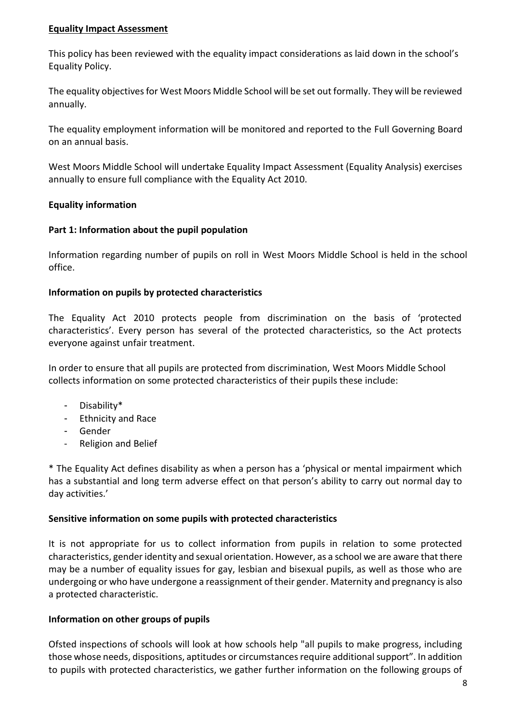#### **Equality Impact Assessment**

This policy has been reviewed with the equality impact considerations as laid down in the school's Equality Policy.

The equality objectives for West Moors Middle School will be set out formally. They will be reviewed annually.

The equality employment information will be monitored and reported to the Full Governing Board on an annual basis.

West Moors Middle School will undertake Equality Impact Assessment (Equality Analysis) exercises annually to ensure full compliance with the Equality Act 2010.

### **Equality information**

### **Part 1: Information about the pupil population**

Information regarding number of pupils on roll in West Moors Middle School is held in the school office.

### **Information on pupils by protected characteristics**

The Equality Act 2010 protects people from discrimination on the basis of 'protected characteristics'. Every person has several of the protected characteristics, so the Act protects everyone against unfair treatment.

In order to ensure that all pupils are protected from discrimination, West Moors Middle School collects information on some protected characteristics of their pupils these include:

- Disability\*
- Ethnicity and Race
- Gender
- Religion and Belief

\* The Equality Act defines disability as when a person has a 'physical or mental impairment which has a substantial and long term adverse effect on that person's ability to carry out normal day to day activities.'

### **Sensitive information on some pupils with protected characteristics**

It is not appropriate for us to collect information from pupils in relation to some protected characteristics, gender identity and sexual orientation. However, as a school we are aware that there may be a number of equality issues for gay, lesbian and bisexual pupils, as well as those who are undergoing or who have undergone a reassignment of their gender. Maternity and pregnancy is also a protected characteristic.

### **Information on other groups of pupils**

Ofsted inspections of schools will look at how schools help "all pupils to make progress, including those whose needs, dispositions, aptitudes or circumstances require additional support". In addition to pupils with protected characteristics, we gather further information on the following groups of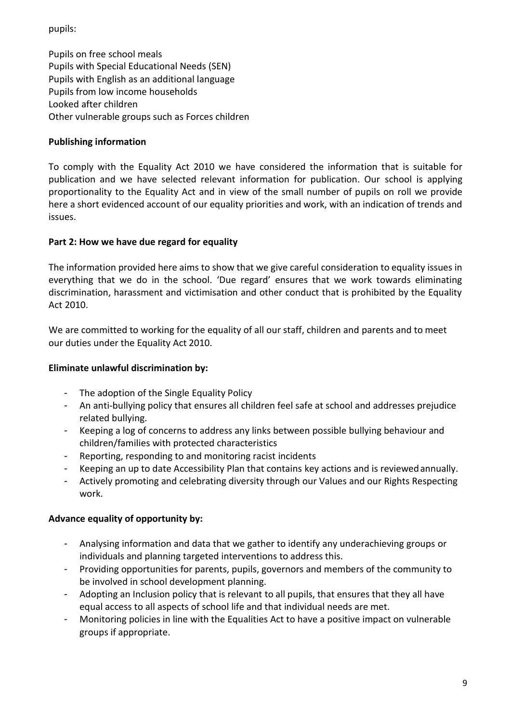pupils:

Pupils on free school meals Pupils with Special Educational Needs (SEN) Pupils with English as an additional language Pupils from low income households Looked after children Other vulnerable groups such as Forces children

# **Publishing information**

To comply with the Equality Act 2010 we have considered the information that is suitable for publication and we have selected relevant information for publication. Our school is applying proportionality to the Equality Act and in view of the small number of pupils on roll we provide here a short evidenced account of our equality priorities and work, with an indication of trends and issues.

# **Part 2: How we have due regard for equality**

The information provided here aims to show that we give careful consideration to equality issues in everything that we do in the school. 'Due regard' ensures that we work towards eliminating discrimination, harassment and victimisation and other conduct that is prohibited by the Equality Act 2010.

We are committed to working for the equality of all our staff, children and parents and to meet our duties under the Equality Act 2010.

# **Eliminate unlawful discrimination by:**

- The adoption of the Single Equality Policy
- An anti-bullying policy that ensures all children feel safe at school and addresses prejudice related bullying.
- Keeping a log of concerns to address any links between possible bullying behaviour and children/families with protected characteristics
- Reporting, responding to and monitoring racist incidents
- Keeping an up to date Accessibility Plan that contains key actions and is reviewedannually.
- Actively promoting and celebrating diversity through our Values and our Rights Respecting work.

# **Advance equality of opportunity by:**

- Analysing information and data that we gather to identify any underachieving groups or individuals and planning targeted interventions to address this.
- Providing opportunities for parents, pupils, governors and members of the community to be involved in school development planning.
- Adopting an Inclusion policy that is relevant to all pupils, that ensures that they all have equal access to all aspects of school life and that individual needs are met.
- Monitoring policies in line with the Equalities Act to have a positive impact on vulnerable groups if appropriate.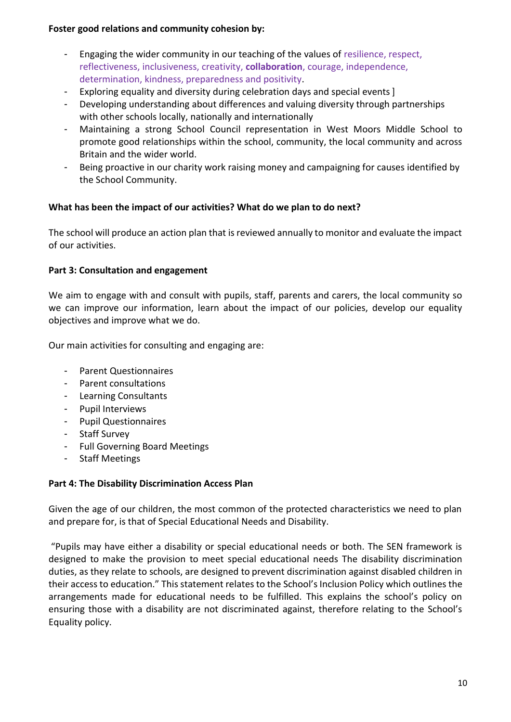### **Foster good relations and community cohesion by:**

- Engaging the wider community in our teaching of the values of resilience, respect, reflectiveness, inclusiveness, creativity, **collaboration**, courage, independence, determination, kindness, preparedness and positivity.
- Exploring equality and diversity during celebration days and special events]
- Developing understanding about differences and valuing diversity through partnerships with other schools locally, nationally and internationally
- Maintaining a strong School Council representation in West Moors Middle School to promote good relationships within the school, community, the local community and across Britain and the wider world.
- Being proactive in our charity work raising money and campaigning for causes identified by the School Community.

# **What has been the impact of our activities? What do we plan to do next?**

The school will produce an action plan that is reviewed annually to monitor and evaluate the impact of our activities.

### **Part 3: Consultation and engagement**

We aim to engage with and consult with pupils, staff, parents and carers, the local community so we can improve our information, learn about the impact of our policies, develop our equality objectives and improve what we do.

Our main activities for consulting and engaging are:

- Parent Questionnaires
- Parent consultations
- Learning Consultants
- Pupil Interviews
- Pupil Questionnaires
- Staff Survey
- Full Governing Board Meetings
- Staff Meetings

### **Part 4: The Disability Discrimination Access Plan**

Given the age of our children, the most common of the protected characteristics we need to plan and prepare for, is that of Special Educational Needs and Disability.

"Pupils may have either a disability or special educational needs or both. The SEN framework is designed to make the provision to meet special educational needs The disability discrimination duties, as they relate to schools, are designed to prevent discrimination against disabled children in their access to education." This statement relates to the School's Inclusion Policy which outlines the arrangements made for educational needs to be fulfilled. This explains the school's policy on ensuring those with a disability are not discriminated against, therefore relating to the School's Equality policy.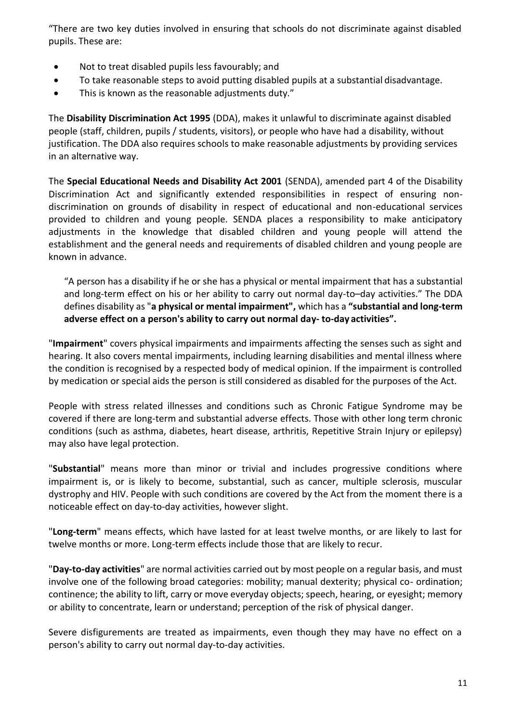"There are two key duties involved in ensuring that schools do not discriminate against disabled pupils. These are:

- Not to treat disabled pupils less favourably; and
- To take reasonable steps to avoid putting disabled pupils at a substantial disadvantage.
- This is known as the reasonable adjustments duty."

The **Disability Discrimination Act 1995** (DDA), makes it unlawful to discriminate against disabled people (staff, children, pupils / students, visitors), or people who have had a disability, without justification. The DDA also requires schools to make reasonable adjustments by providing services in an alternative way.

The **Special Educational Needs and Disability Act 2001** (SENDA), amended part 4 of the Disability Discrimination Act and significantly extended responsibilities in respect of ensuring nondiscrimination on grounds of disability in respect of educational and non-educational services provided to children and young people. SENDA places a responsibility to make anticipatory adjustments in the knowledge that disabled children and young people will attend the establishment and the general needs and requirements of disabled children and young people are known in advance.

"A person has a disability if he or she has a physical or mental impairment that has a substantial and long-term effect on his or her ability to carry out normal day-to–day activities." The DDA defines disability as "**a physical or mental impairment",** which has a **"substantial and long-term adverse effect on a person's ability to carry out normal day- to-day activities".**

"**Impairment**" covers physical impairments and impairments affecting the senses such as sight and hearing. It also covers mental impairments, including learning disabilities and mental illness where the condition is recognised by a respected body of medical opinion. If the impairment is controlled by medication or special aids the person is still considered as disabled for the purposes of the Act.

People with stress related illnesses and conditions such as Chronic Fatigue Syndrome may be covered if there are long-term and substantial adverse effects. Those with other long term chronic conditions (such as asthma, diabetes, heart disease, arthritis, Repetitive Strain Injury or epilepsy) may also have legal protection.

"**Substantial**" means more than minor or trivial and includes progressive conditions where impairment is, or is likely to become, substantial, such as cancer, multiple sclerosis, muscular dystrophy and HIV. People with such conditions are covered by the Act from the moment there is a noticeable effect on day-to-day activities, however slight.

"**Long-term**" means effects, which have lasted for at least twelve months, or are likely to last for twelve months or more. Long-term effects include those that are likely to recur.

"**Day-to-day activities**" are normal activities carried out by most people on a regular basis, and must involve one of the following broad categories: mobility; manual dexterity; physical co- ordination; continence; the ability to lift, carry or move everyday objects; speech, hearing, or eyesight; memory or ability to concentrate, learn or understand; perception of the risk of physical danger.

Severe disfigurements are treated as impairments, even though they may have no effect on a person's ability to carry out normal day-to-day activities.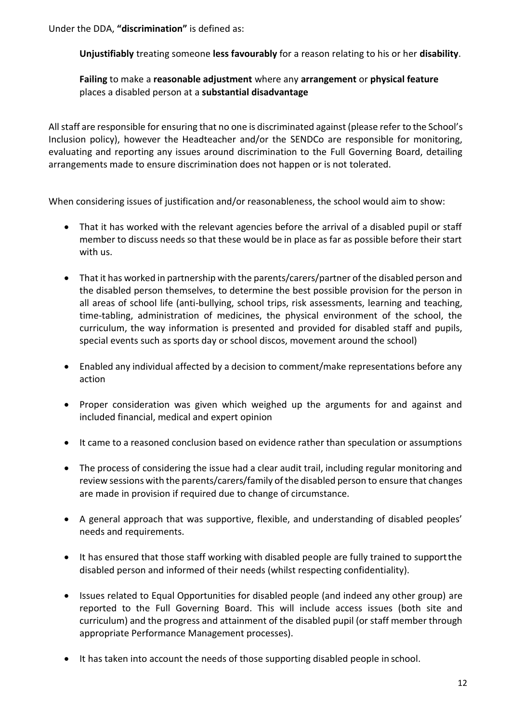Under the DDA, **"discrimination"** is defined as:

**Unjustifiably** treating someone **less favourably** for a reason relating to his or her **disability**.

**Failing** to make a **reasonable adjustment** where any **arrangement** or **physical feature** places a disabled person at a **substantial disadvantage**

All staff are responsible for ensuring that no one is discriminated against (please refer to the School's Inclusion policy), however the Headteacher and/or the SENDCo are responsible for monitoring, evaluating and reporting any issues around discrimination to the Full Governing Board, detailing arrangements made to ensure discrimination does not happen or is not tolerated.

When considering issues of justification and/or reasonableness, the school would aim to show:

- That it has worked with the relevant agencies before the arrival of a disabled pupil or staff member to discuss needs so that these would be in place as far as possible before their start with us.
- That it has worked in partnership with the parents/carers/partner of the disabled person and the disabled person themselves, to determine the best possible provision for the person in all areas of school life (anti-bullying, school trips, risk assessments, learning and teaching, time-tabling, administration of medicines, the physical environment of the school, the curriculum, the way information is presented and provided for disabled staff and pupils, special events such as sports day or school discos, movement around the school)
- Enabled any individual affected by a decision to comment/make representations before any action
- Proper consideration was given which weighed up the arguments for and against and included financial, medical and expert opinion
- It came to a reasoned conclusion based on evidence rather than speculation or assumptions
- The process of considering the issue had a clear audit trail, including regular monitoring and review sessions with the parents/carers/family of the disabled person to ensure that changes are made in provision if required due to change of circumstance.
- A general approach that was supportive, flexible, and understanding of disabled peoples' needs and requirements.
- It has ensured that those staff working with disabled people are fully trained to support the disabled person and informed of their needs (whilst respecting confidentiality).
- Issues related to Equal Opportunities for disabled people (and indeed any other group) are reported to the Full Governing Board. This will include access issues (both site and curriculum) and the progress and attainment of the disabled pupil (or staff member through appropriate Performance Management processes).
- It has taken into account the needs of those supporting disabled people in school.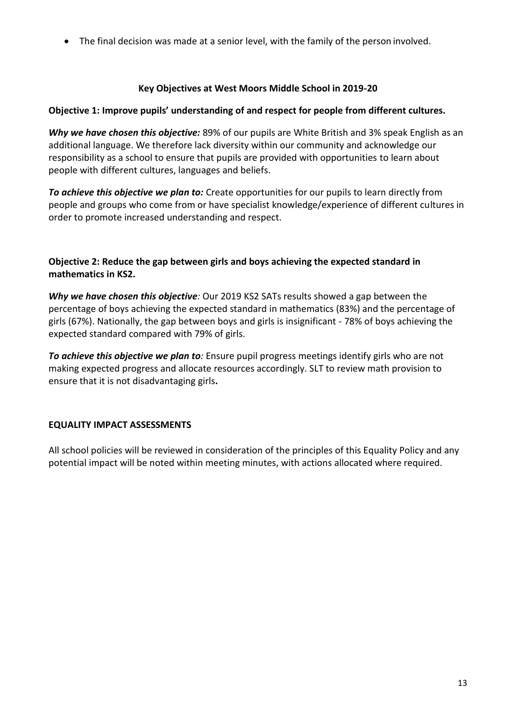The final decision was made at a senior level, with the family of the person involved.

# **Key Objectives at West Moors Middle School in 2019-20**

### **Objective 1: Improve pupils' understanding of and respect for people from different cultures.**

*Why we have chosen this objective:* 89% of our pupils are White British and 3% speak English as an additional language. We therefore lack diversity within our community and acknowledge our responsibility as a school to ensure that pupils are provided with opportunities to learn about people with different cultures, languages and beliefs.

*To achieve this objective we plan to:* Create opportunities for our pupils to learn directly from people and groups who come from or have specialist knowledge/experience of different cultures in order to promote increased understanding and respect.

### **Objective 2: Reduce the gap between girls and boys achieving the expected standard in mathematics in KS2.**

*Why we have chosen this objective:* Our 2019 KS2 SATs results showed a gap between the percentage of boys achieving the expected standard in mathematics (83%) and the percentage of girls (67%). Nationally, the gap between boys and girls is insignificant - 78% of boys achieving the expected standard compared with 79% of girls.

*To achieve this objective we plan to:* Ensure pupil progress meetings identify girls who are not making expected progress and allocate resources accordingly. SLT to review math provision to ensure that it is not disadvantaging girls**.**

### **EQUALITY IMPACT ASSESSMENTS**

All school policies will be reviewed in consideration of the principles of this Equality Policy and any potential impact will be noted within meeting minutes, with actions allocated where required.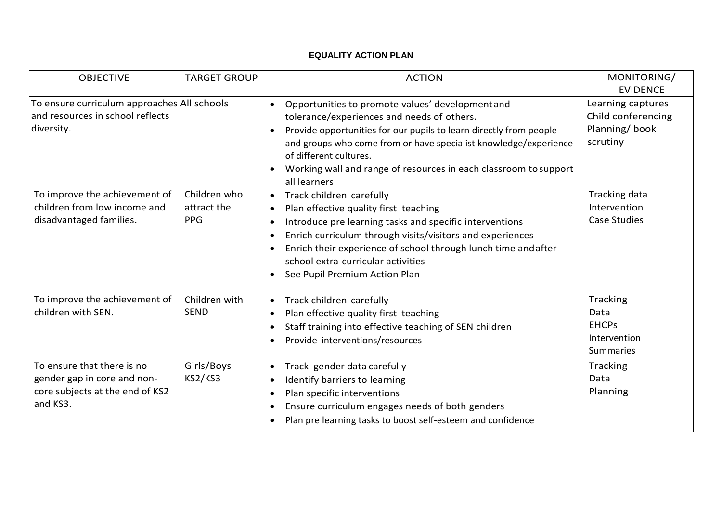#### **EQUALITY ACTION PLAN**

| <b>OBJECTIVE</b>                                                                                         | <b>TARGET GROUP</b>                       | <b>ACTION</b>                                                                                                                                                                                                                                                                                                                                                                                       | MONITORING/<br><b>EVIDENCE</b>                                       |
|----------------------------------------------------------------------------------------------------------|-------------------------------------------|-----------------------------------------------------------------------------------------------------------------------------------------------------------------------------------------------------------------------------------------------------------------------------------------------------------------------------------------------------------------------------------------------------|----------------------------------------------------------------------|
| To ensure curriculum approaches All schools<br>and resources in school reflects<br>diversity.            |                                           | Opportunities to promote values' development and<br>$\bullet$<br>tolerance/experiences and needs of others.<br>Provide opportunities for our pupils to learn directly from people<br>$\bullet$<br>and groups who come from or have specialist knowledge/experience<br>of different cultures.<br>Working wall and range of resources in each classroom to support<br>all learners                    | Learning captures<br>Child conferencing<br>Planning/book<br>scrutiny |
| To improve the achievement of<br>children from low income and<br>disadvantaged families.                 | Children who<br>attract the<br><b>PPG</b> | Track children carefully<br>$\bullet$<br>Plan effective quality first teaching<br>$\bullet$<br>Introduce pre learning tasks and specific interventions<br>$\bullet$<br>Enrich curriculum through visits/visitors and experiences<br>$\bullet$<br>Enrich their experience of school through lunch time and after<br>school extra-curricular activities<br>See Pupil Premium Action Plan<br>$\bullet$ | Tracking data<br>Intervention<br>Case Studies                        |
| To improve the achievement of<br>children with SEN.                                                      | Children with<br><b>SEND</b>              | Track children carefully<br>$\bullet$<br>Plan effective quality first teaching<br>$\bullet$<br>Staff training into effective teaching of SEN children<br>$\bullet$<br>Provide interventions/resources                                                                                                                                                                                               | Tracking<br>Data<br><b>EHCPs</b><br>Intervention<br><b>Summaries</b> |
| To ensure that there is no<br>gender gap in core and non-<br>core subjects at the end of KS2<br>and KS3. | Girls/Boys<br>KS2/KS3                     | Track gender data carefully<br>$\bullet$<br>Identify barriers to learning<br>$\bullet$<br>Plan specific interventions<br>$\bullet$<br>Ensure curriculum engages needs of both genders<br>$\bullet$<br>Plan pre learning tasks to boost self-esteem and confidence<br>$\bullet$                                                                                                                      | Tracking<br>Data<br>Planning                                         |